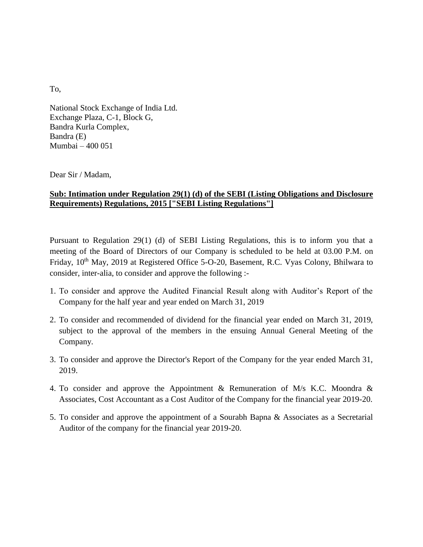To,

National Stock Exchange of India Ltd. Exchange Plaza, C-1, Block G, Bandra Kurla Complex, Bandra (E) Mumbai – 400 051

Dear Sir / Madam,

## **Sub: Intimation under Regulation 29(1) (d) of the SEBI (Listing Obligations and Disclosure Requirements) Regulations, 2015 ["SEBI Listing Regulations"]**

Pursuant to Regulation 29(1) (d) of SEBI Listing Regulations, this is to inform you that a meeting of the Board of Directors of our Company is scheduled to be held at 03.00 P.M. on Friday, 10<sup>th</sup> May, 2019 at Registered Office 5-O-20, Basement, R.C. Vyas Colony, Bhilwara to consider, inter-alia, to consider and approve the following :-

- 1. To consider and approve the Audited Financial Result along with Auditor's Report of the Company for the half year and year ended on March 31, 2019
- 2. To consider and recommended of dividend for the financial year ended on March 31, 2019, subject to the approval of the members in the ensuing Annual General Meeting of the Company.
- 3. To consider and approve the Director's Report of the Company for the year ended March 31, 2019.
- 4. To consider and approve the Appointment & Remuneration of M/s K.C. Moondra & Associates, Cost Accountant as a Cost Auditor of the Company for the financial year 2019-20.
- 5. To consider and approve the appointment of a Sourabh Bapna & Associates as a Secretarial Auditor of the company for the financial year 2019-20.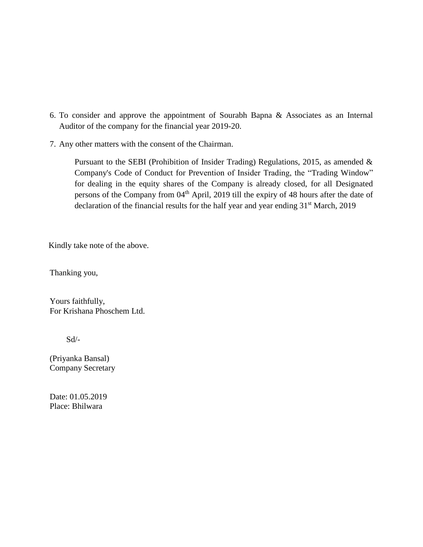- 6. To consider and approve the appointment of Sourabh Bapna & Associates as an Internal Auditor of the company for the financial year 2019-20.
- 7. Any other matters with the consent of the Chairman.

Pursuant to the SEBI (Prohibition of Insider Trading) Regulations, 2015, as amended & Company's Code of Conduct for Prevention of Insider Trading, the "Trading Window" for dealing in the equity shares of the Company is already closed, for all Designated persons of the Company from 04<sup>th</sup> April, 2019 till the expiry of 48 hours after the date of declaration of the financial results for the half year and year ending  $31<sup>st</sup>$  March, 2019

Kindly take note of the above.

Thanking you,

Yours faithfully, For Krishana Phoschem Ltd.

Sd/-

(Priyanka Bansal) Company Secretary

Date: 01.05.2019 Place: Bhilwara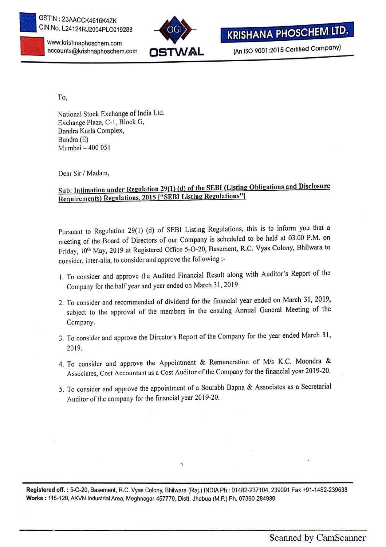

www.krishnaphoschem.com



**KRISHANA PHOSCHEM LTD.** 

(An ISO 9001:2015 Certified Company)

To,

National Stock Exchange of India Ltd. Exchange Plaza, C-1, Block G, Bandra Kurla Complex, Bandra (E) Mumbai — 400 051

Dear Sir/ Madam,

## Sub: Intimation under Regulation 29(1) (d) of the SEBI (Listing Obligations and Disclosure Requirements) Regulations. <sup>2015</sup> I"SEBI Listing Regulations"l

Pursuant to Regulation 29(1) (d) of SEBI Listing Regulations, this is to inform you that a meeting of the Board of Directors of our Company is scheduled to be held at 03.00 PM. on Friday, 10<sup>th</sup> May, 2019 at Registered Office 5-O-20, Basement, R.C. Vyas Colony, Bhilwara to consider, inter-alia, to consider and approve the following :-

- 1. To consider and approve the Audited Financial Result along with Auditor's Report of the Company for the half year and year ended on March 31, 2019
- 2. To consider and recommended of dividend for the financial year ended on March 31, 2019, subject to the approval of the members in the ensuing Annual General Meeting of the Company.
- 3. To consider and approve the Director's Report of the Company for the year ended March 31, 2019.
- 4. To consider and approve the Appointment & Remuneration of M/s K.C. Moondra & Associates, Cost Accountant as a Cost Auditor of the Company for the financial year 2019-20.
- 5. To consider and approve the appointment of <sup>a</sup> Sourabh Bapna & Associates as <sup>a</sup> Secretarial Auditor of the company for the financial year 2019-20.

 $\overline{z}$ 

Reglstered off. : 5-0-20, Basement, R.C. Vyas Colony, Bhilwara (Raj.) INDIA Ph : 01462-237104, <sup>239091</sup> Fax +91-1482-239638 Works : 115-120,AKVN lndustriaIArea, Meghnagar—457779. Distt. Jhabua (M.P.) Ph. 07390-284989